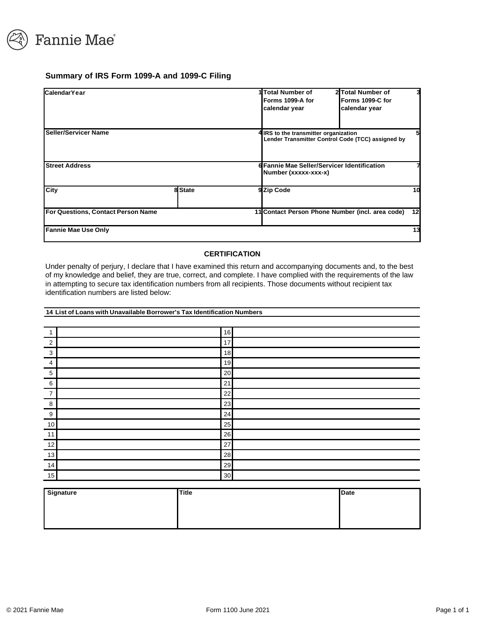

#### **Summary of IRS Form 1099-A and 1099-C Filing**

| Calendar Year                      |         | 1 Total Number of<br>Forms 1099-A for<br>calendar year                                     | 2 Total Number of<br>Forms 1099-C for<br>calendar year | 3               |
|------------------------------------|---------|--------------------------------------------------------------------------------------------|--------------------------------------------------------|-----------------|
| Seller/Servicer Name               |         | 4 IRS to the transmitter organization<br>Lender Transmitter Control Code (TCC) assigned by |                                                        | 5               |
| <b>Street Address</b>              |         | 6 Fannie Mae Seller/Servicer Identification<br>Number (xxxxx-xxx-x)                        |                                                        |                 |
| City                               | 8 State | 9 Zip Code                                                                                 |                                                        | 10              |
| For Questions, Contact Person Name |         | 11 Contact Person Phone Number (incl. area code)                                           |                                                        | 12 <sub>l</sub> |
| <b>Fannie Mae Use Only</b>         |         |                                                                                            |                                                        | 13              |

#### **CERTIFICATION**

Under penalty of perjury, I declare that I have examined this return and accompanying documents and, to the best of my knowledge and belief, they are true, correct, and complete. I have complied with the requirements of the law in attempting to secure tax identification numbers from all recipients. Those documents without recipient tax identification numbers are listed below:

#### **14 List of Loans with Unavailable Borrower's Tax Identification Numbers**

|                | 16 |  |
|----------------|----|--|
| $\overline{2}$ | 17 |  |
| 3              | 18 |  |
| 4              | 19 |  |
| 5              | 20 |  |
| 6              | 21 |  |
| $\overline{7}$ | 22 |  |
| 8              | 23 |  |
| 9              | 24 |  |
| 10             | 25 |  |
| 11             | 26 |  |
| 12             | 27 |  |
| 13             | 28 |  |
| 14             | 29 |  |
| 15             | 30 |  |

| <b>Signature</b> | <b>Title</b> | Date |
|------------------|--------------|------|
|                  |              |      |
|                  |              |      |
|                  |              |      |